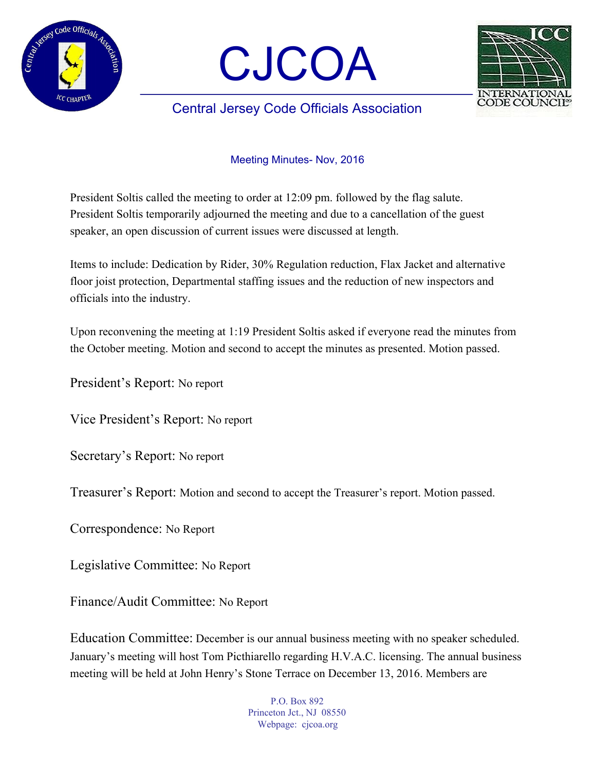





## Central Jersey Code Officials Association

## Meeting Minutes- Nov, 2016

President Soltis called the meeting to order at 12:09 pm. followed by the flag salute. President Soltis temporarily adjourned the meeting and due to a cancellation of the guest speaker, an open discussion of current issues were discussed at length.

Items to include: Dedication by Rider, 30% Regulation reduction, Flax Jacket and alternative floor joist protection, Departmental staffing issues and the reduction of new inspectors and officials into the industry.

Upon reconvening the meeting at 1:19 President Soltis asked if everyone read the minutes from the October meeting. Motion and second to accept the minutes as presented. Motion passed.

President's Report: No report

Vice President's Report: No report

Secretary's Report: No report

Treasurer's Report: Motion and second to accept the Treasurer's report. Motion passed.

Correspondence: No Report

Legislative Committee: No Report

Finance/Audit Committee: No Report

Education Committee: December is our annual business meeting with no speaker scheduled. January's meeting will host Tom Picthiarello regarding H.V.A.C. licensing. The annual business meeting will be held at John Henry's Stone Terrace on December 13, 2016. Members are

> P.O. Box 892 Princeton Jct., NJ 08550 Webpage: cjcoa.org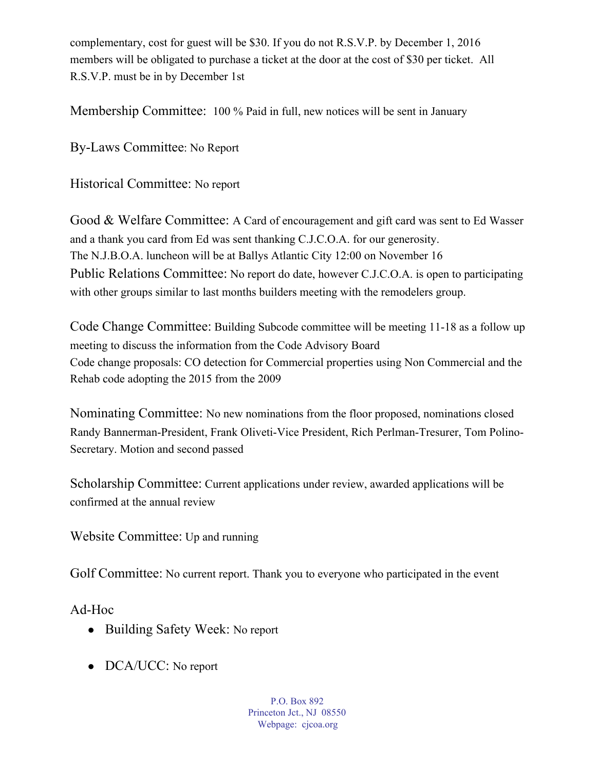complementary, cost for guest will be \$30. If you do not R.S.V.P. by December 1, 2016 members will be obligated to purchase a ticket at the door at the cost of \$30 per ticket. All R.S.V.P. must be in by December 1st

Membership Committee: 100 % Paid in full, new notices will be sent in January

By-Laws Committee: No Report

Historical Committee: No report

Good & Welfare Committee: A Card of encouragement and gift card was sent to Ed Wasser and a thank you card from Ed was sent thanking C.J.C.O.A. for our generosity. The N.J.B.O.A. luncheon will be at Ballys Atlantic City 12:00 on November 16 Public Relations Committee: No report do date, however C.J.C.O.A. is open to participating with other groups similar to last months builders meeting with the remodelers group.

Code Change Committee: Building Subcode committee will be meeting 11-18 as a follow up meeting to discuss the information from the Code Advisory Board Code change proposals: CO detection for Commercial properties using Non Commercial and the Rehab code adopting the 2015 from the 2009

Nominating Committee: No new nominations from the floor proposed, nominations closed Randy Bannerman-President, Frank Oliveti-Vice President, Rich Perlman-Tresurer, Tom Polino-Secretary. Motion and second passed

Scholarship Committee: Current applications under review, awarded applications will be confirmed at the annual review

Website Committee: Up and running

Golf Committee: No current report. Thank you to everyone who participated in the event

Ad-Hoc

- Building Safety Week: No report
- DCA/UCC: No report